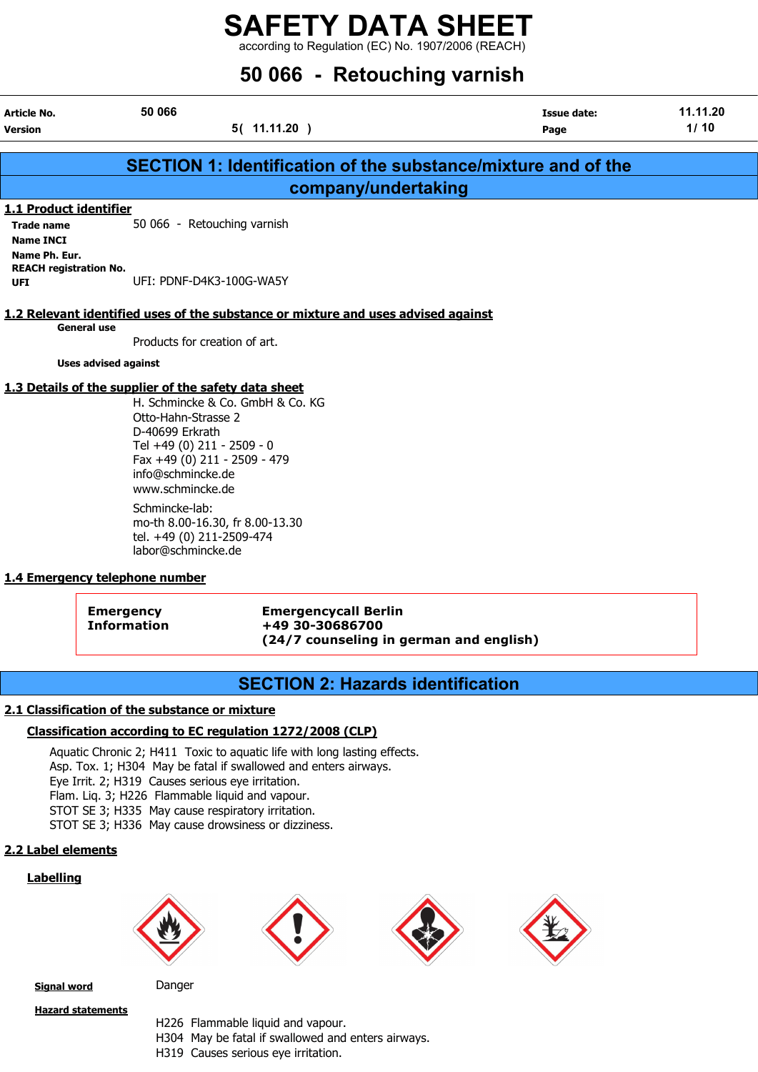according to Regulation (EC) No. 1907/2006 (REACH)

|                                                                                                      |                                                                                                                                                                                                                                           | 50 066 - Retouching varnish |                            |                  |  |
|------------------------------------------------------------------------------------------------------|-------------------------------------------------------------------------------------------------------------------------------------------------------------------------------------------------------------------------------------------|-----------------------------|----------------------------|------------------|--|
| Article No.<br>Version                                                                               | 50 066<br>5(11.11.20)                                                                                                                                                                                                                     |                             | <b>Issue date:</b><br>Page | 11.11.20<br>1/10 |  |
|                                                                                                      | <b>SECTION 1: Identification of the substance/mixture and of the</b>                                                                                                                                                                      |                             |                            |                  |  |
|                                                                                                      |                                                                                                                                                                                                                                           | company/undertaking         |                            |                  |  |
| <b>1.1 Product identifier</b><br><b>Trade name</b><br><b>Name INCI</b><br>Name Ph. Eur.              | 50 066 - Retouching varnish                                                                                                                                                                                                               |                             |                            |                  |  |
| <b>UFI</b>                                                                                           | <b>REACH registration No.</b><br>UFI: PDNF-D4K3-100G-WA5Y<br>1.2 Relevant identified uses of the substance or mixture and uses advised against                                                                                            |                             |                            |                  |  |
| <b>General use</b>                                                                                   |                                                                                                                                                                                                                                           |                             |                            |                  |  |
|                                                                                                      | Products for creation of art.                                                                                                                                                                                                             |                             |                            |                  |  |
| <b>Uses advised against</b>                                                                          |                                                                                                                                                                                                                                           |                             |                            |                  |  |
|                                                                                                      | 1.3 Details of the supplier of the safety data sheet<br>H. Schmincke & Co. GmbH & Co. KG<br>Otto-Hahn-Strasse 2<br>D-40699 Erkrath<br>Tel +49 (0) 211 - 2509 - 0<br>Fax +49 (0) 211 - 2509 - 479<br>info@schmincke.de<br>www.schmincke.de |                             |                            |                  |  |
| Schmincke-lab:<br>mo-th 8.00-16.30, fr 8.00-13.30<br>tel. +49 (0) 211-2509-474<br>labor@schmincke.de |                                                                                                                                                                                                                                           |                             |                            |                  |  |
| 1.4 Emergency telephone number                                                                       |                                                                                                                                                                                                                                           |                             |                            |                  |  |

Emergency Emergencycall Berlin Information +49 30-30686700 (24/7 counseling in german and english)

## SECTION 2: Hazards identification

#### 2.1 Classification of the substance or mixture

#### Classification according to EC regulation 1272/2008 (CLP)

Aquatic Chronic 2; H411 Toxic to aquatic life with long lasting effects. Asp. Tox. 1; H304 May be fatal if swallowed and enters airways. Eye Irrit. 2; H319 Causes serious eye irritation. Flam. Liq. 3; H226 Flammable liquid and vapour. STOT SE 3; H335 May cause respiratory irritation. STOT SE 3; H336 May cause drowsiness or dizziness.

#### 2.2 Label elements

#### **Labelling**



Signal word Danger

Hazard statements

H226 Flammable liquid and vapour. H304 May be fatal if swallowed and enters airways. H319 Causes serious eye irritation.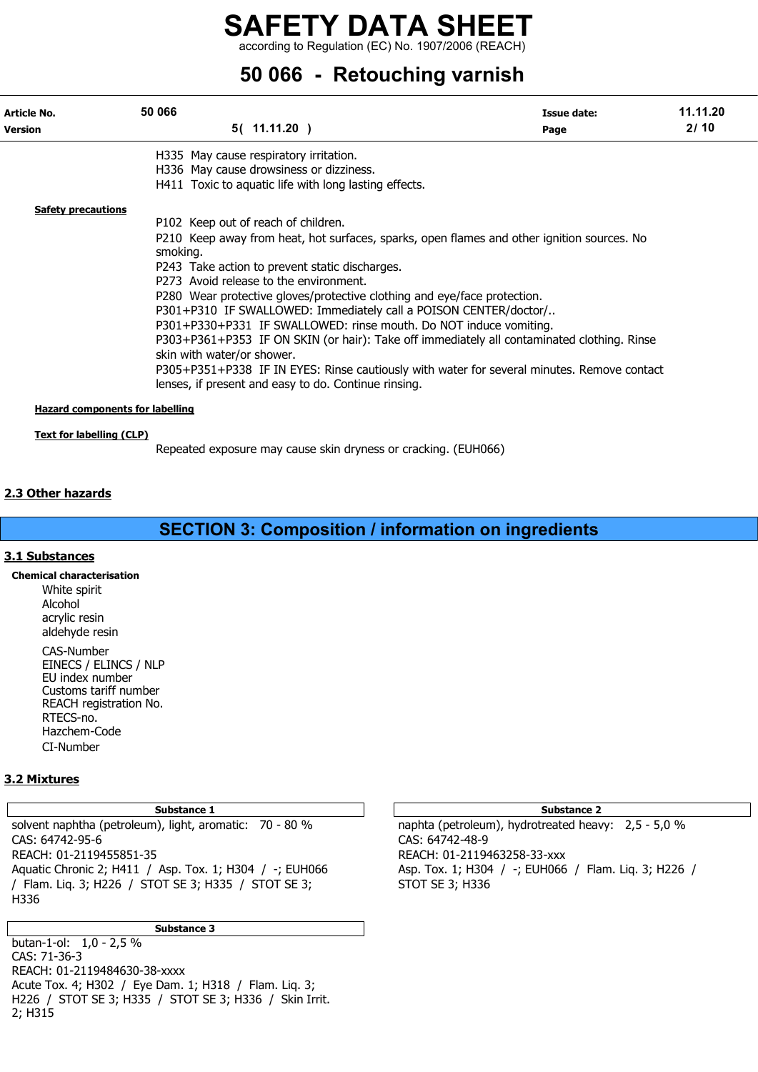according to Regulation (EC) No. 1907/2006 (REACH)

## 50 066 - Retouching varnish

| Article No.<br><b>Version</b>          | 50 066                     | 5(11.11.20)                                                                                                                                                                                                       | Issue date:<br>Page | 11.11.20<br>2/10 |
|----------------------------------------|----------------------------|-------------------------------------------------------------------------------------------------------------------------------------------------------------------------------------------------------------------|---------------------|------------------|
|                                        |                            | H335 May cause respiratory irritation.<br>H336 May cause drowsiness or dizziness.                                                                                                                                 |                     |                  |
| <b>Safety precautions</b>              |                            | H411 Toxic to aquatic life with long lasting effects.<br>P102 Keep out of reach of children.                                                                                                                      |                     |                  |
|                                        | smoking.                   | P210 Keep away from heat, hot surfaces, sparks, open flames and other ignition sources. No                                                                                                                        |                     |                  |
|                                        |                            | P243 Take action to prevent static discharges.<br>P273 Avoid release to the environment.                                                                                                                          |                     |                  |
|                                        |                            | P280 Wear protective gloves/protective clothing and eye/face protection.<br>P301+P310 IF SWALLOWED: Immediately call a POISON CENTER/doctor/<br>P301+P330+P331 IF SWALLOWED: rinse mouth. Do NOT induce vomiting. |                     |                  |
|                                        | skin with water/or shower. | P303+P361+P353 IF ON SKIN (or hair): Take off immediately all contaminated clothing. Rinse                                                                                                                        |                     |                  |
|                                        |                            | P305+P351+P338 IF IN EYES: Rinse cautiously with water for several minutes. Remove contact<br>lenses, if present and easy to do. Continue rinsing.                                                                |                     |                  |
| <b>Hazard components for labelling</b> |                            |                                                                                                                                                                                                                   |                     |                  |

#### Text for labelling (CLP)

Repeated exposure may cause skin dryness or cracking. (EUH066)

#### 2.3 Other hazards

## SECTION 3: Composition / information on ingredients

#### 3.1 Substances

Chemical characterisation White spirit Alcohol acrylic resin aldehyde resin CAS-Number EINECS / ELINCS / NLP EU index number Customs tariff number REACH registration No. RTECS-no. Hazchem-Code CI-Number

#### 3.2 Mixtures

#### Substance 1 and 2 Substance 2 and 3 Substance 2 and 3 Substance 2 and 3 Substance 2 and 3 Substance 2

solvent naphtha (petroleum), light, aromatic: 70 - 80 % naphta (petroleum), hydrotreated heavy: 2,5 - 5,0 % CAS: 64742-95-6 CAS: 64742-48-9 REACH: 01-2119455851-35<br>Aquatic Chronic 2; H411 / Asp. Tox. 1; H304 / -; EUH066 <br>Asp. Tox. 1; H304 / -; EUH066 / Flam. Liq. 3; H226 / Aquatic Chronic 2; H411 / Asp. Tox. 1; H304 / -; EUH066 / Flam. Lig. 3; H226 / STOT SE 3; H335 / STOT SE 3; STOT SE 3; H336 H336

#### Substance 3

butan-1-ol: 1,0 - 2,5 % CAS: 71-36-3 REACH: 01-2119484630-38-xxxx Acute Tox. 4; H302 / Eye Dam. 1; H318 / Flam. Liq. 3; H226 / STOT SE 3; H335 / STOT SE 3; H336 / Skin Irrit. 2; H315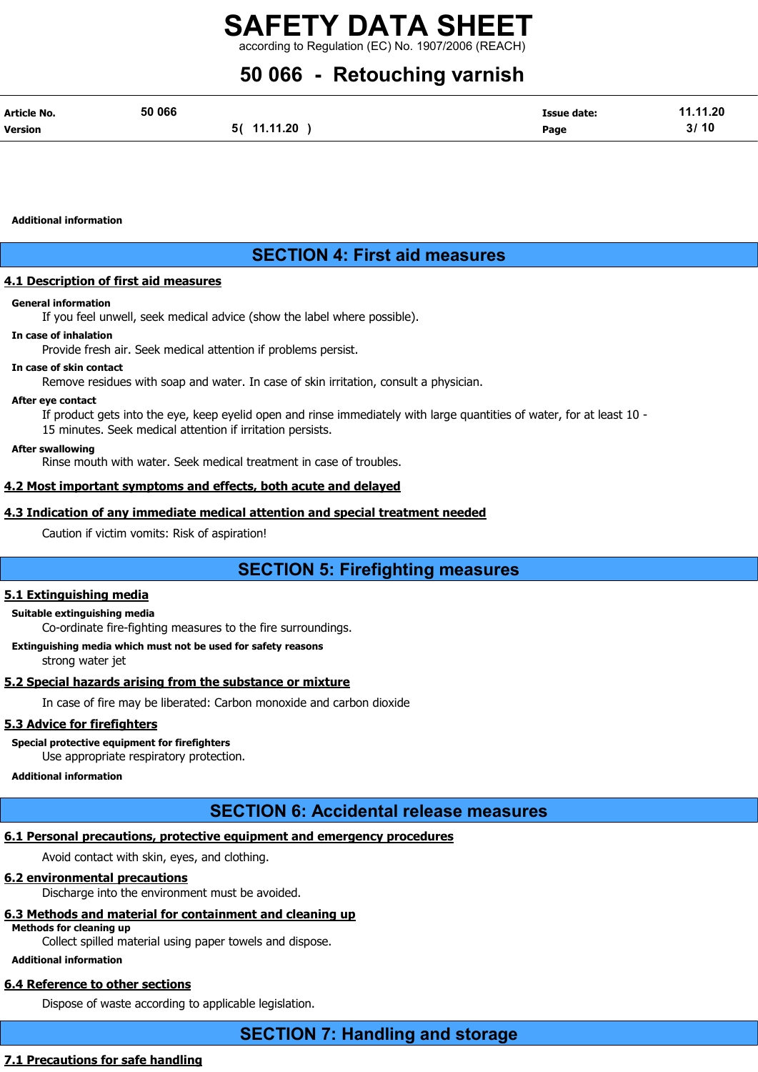according to Regulation (EC) No. 1907/2006 (REAC

## 50 066 - Retouching varnish

| Article No.    | 50 066 |             | <b>Issue date:</b> | 11.11.20 |
|----------------|--------|-------------|--------------------|----------|
| <b>Version</b> |        | 5( 11.11.20 | Page               | 3/10     |

Additional information

## SECTION 4: First aid measures

#### 4.1 Description of first aid measures

#### General information

If you feel unwell, seek medical advice (show the label where possible).

#### In case of inhalation

Provide fresh air. Seek medical attention if problems persist.

#### In case of skin contact

Remove residues with soap and water. In case of skin irritation, consult a physician.

#### After eye contact

If product gets into the eye, keep eyelid open and rinse immediately with large quantities of water, for at least 10 -

15 minutes. Seek medical attention if irritation persists.

#### After swallowing

Rinse mouth with water. Seek medical treatment in case of troubles.

#### 4.2 Most important symptoms and effects, both acute and delayed

#### 4.3 Indication of any immediate medical attention and special treatment needed

Caution if victim vomits: Risk of aspiration!

## SECTION 5: Firefighting measures

#### 5.1 Extinguishing media

#### Suitable extinguishing media

Co-ordinate fire-fighting measures to the fire surroundings.

Extinguishing media which must not be used for safety reasons

strong water jet

#### 5.2 Special hazards arising from the substance or mixture

In case of fire may be liberated: Carbon monoxide and carbon dioxide

#### 5.3 Advice for firefighters

Special protective equipment for firefighters

Use appropriate respiratory protection.

#### Additional information

## SECTION 6: Accidental release measures

### 6.1 Personal precautions, protective equipment and emergency procedures

Avoid contact with skin, eyes, and clothing.

#### 6.2 environmental precautions

Discharge into the environment must be avoided.

#### 6.3 Methods and material for containment and cleaning up

Methods for cleaning up

Collect spilled material using paper towels and dispose.

#### Additional information

## 6.4 Reference to other sections

Dispose of waste according to applicable legislation.

### 7.1 Precautions for safe handling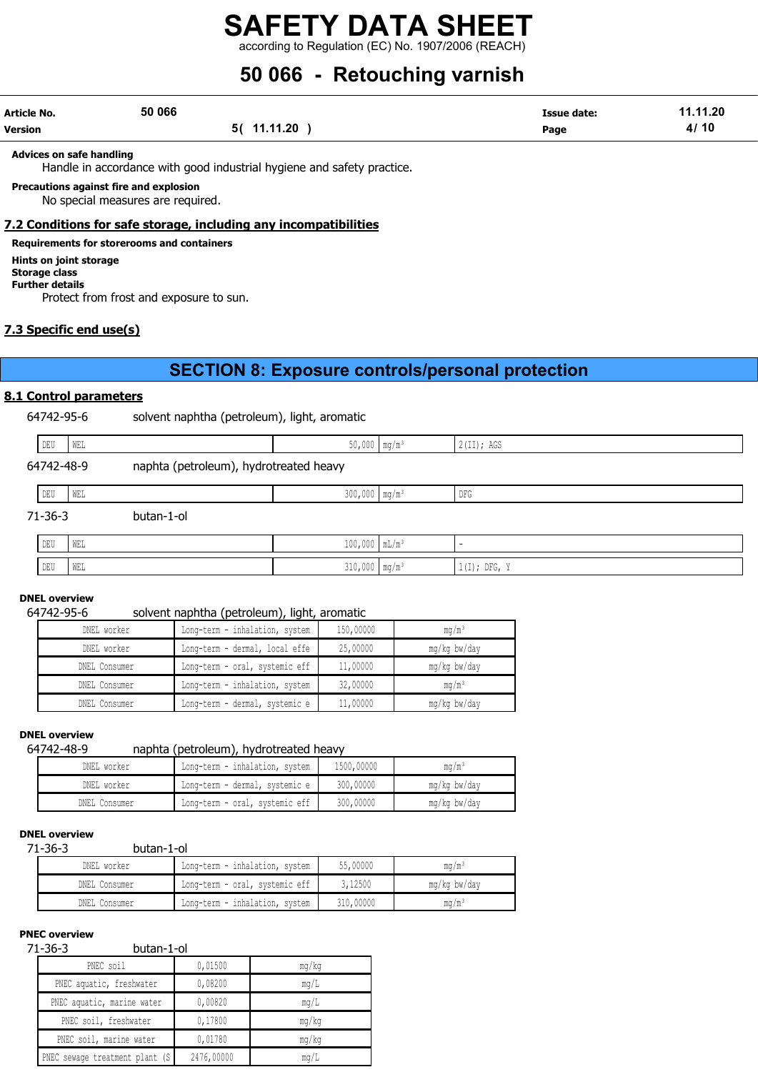according to Regulation (EC) No. 1907/2006 (REACH)

## 50 066 - Retouching varnish

| Article No. | 50 066 |             | <b>Issue date:</b> | 11.11.20 |
|-------------|--------|-------------|--------------------|----------|
| Version     |        | 5( 11.11.20 | Page               | 4/10     |

Advices on safe handling

Handle in accordance with good industrial hygiene and safety practice.

#### Precautions against fire and explosion

No special measures are required.

#### 7.2 Conditions for safe storage, including any incompatibilities

#### Requirements for storerooms and containers

Hints on joint storage

Storage class Further details

Protect from frost and exposure to sun.

#### 7.3 Specific end use(s)

### SECTION 8: Exposure controls/personal protection

#### 8.1 Control parameters

64742-95-6 solvent naphtha (petroleum), light, aromatic

|            | DEU | WEL |            | $50,000$ mg/m <sup>3</sup>             |  | $2$ (II); AGS  |  |  |
|------------|-----|-----|------------|----------------------------------------|--|----------------|--|--|
| 64742-48-9 |     |     |            | naphta (petroleum), hydrotreated heavy |  |                |  |  |
|            | DEU | WEL |            | $300,000$ mg/m <sup>3</sup>            |  | DFG            |  |  |
| 71-36-3    |     |     | butan-1-ol |                                        |  |                |  |  |
|            | DEU | WEL |            | $100,000$ $mL/m^3$                     |  |                |  |  |
|            | DEU | WEL |            | $310,000$ mg/m <sup>3</sup>            |  | $1(I);$ DFG, Y |  |  |

#### DNEL overview

#### 64742-95-6 solvent naphtha (petroleum), light, aromatic

| DNEL worker   | Long-term - inhalation, system | 150,00000 | $mq/m^3$     |
|---------------|--------------------------------|-----------|--------------|
| DNEL worker   | Long-term - dermal, local effe | 25,00000  | mg/kg bw/day |
| DNEL Consumer | Long-term - oral, systemic eff | 11,00000  | mg/kg bw/day |
| DNEL Consumer | Long-term - inhalation, system | 32,00000  | $mq/m^3$     |
| DNEL Consumer | Long-term - dermal, systemic e | 11,00000  | mg/kg bw/day |

## **DNEL overview**<br>64742-48-9

#### naphta (petroleum), hydrotreated heavy

| DNEL worker   | Long-term - inhalation, system | 1500,00000 | ma/mª        |
|---------------|--------------------------------|------------|--------------|
| DNEL worker   | Long-term - dermal, systemic e | 300,00000  | mg/kg bw/day |
| DNEL Consumer | Long-term - oral, systemic eff | 300,00000  | mg/kg bw/day |

#### DNEL overview

71-36-3 butan-1-ol

| DNEL worker   | Long-term - inhalation, system | 55,00000  | mq/m <sup>3</sup> |
|---------------|--------------------------------|-----------|-------------------|
| DNEL Consumer | Long-term - oral, systemic eff | 3,12500   | mg/kg bw/day      |
| DNEL Consumer | Long-term - inhalation, system | 310,00000 | mq/m <sup>3</sup> |

#### PNEC overview

#### 71-36-3 butan-1-ol

| - - - -<br><b>DULUII 1 VI</b>   |            |       |
|---------------------------------|------------|-------|
| PNEC soil                       | 0,01500    | mq/kg |
| PNEC aquatic, freshwater        | 0,08200    | mq/L  |
| PNEC aquatic, marine water      | 0,00820    | mq/L  |
| PNEC soil, freshwater           | 0,17800    | mq/kg |
| PNEC soil, marine water         | 0,01780    | mq/kg |
| PNEC sewage treatment plant (S) | 2476,00000 | mq/L  |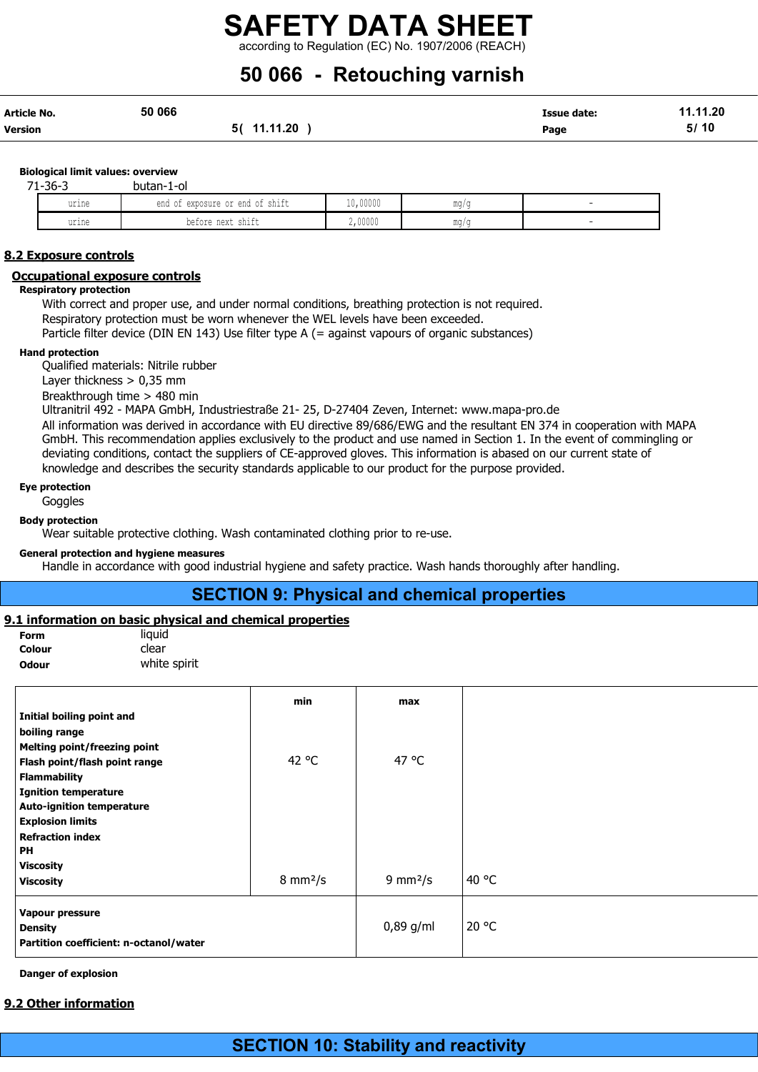## 50 066 - Retouching varnish

| Article No. | 50 066          | Issue date: | 11.11.20 |
|-------------|-----------------|-------------|----------|
| Version     | 11.11.20<br>5 ( | Page        | 5/10     |

#### Biological limit values: overview

| $71 - 36 - 3$ | butan-1-ol                            |          |     |                          |
|---------------|---------------------------------------|----------|-----|--------------------------|
| urine         | exposure or end of shift<br>end<br>◡⊥ | 10,00000 | mq/ |                          |
| urine         | before next shift                     | 2,00000  | mq/ | $\overline{\phantom{a}}$ |

#### 8.2 Exposure controls

#### Occupational exposure controls

#### Respiratory protection

With correct and proper use, and under normal conditions, breathing protection is not required. Respiratory protection must be worn whenever the WEL levels have been exceeded.

Particle filter device (DIN EN 143) Use filter type A (= against vapours of organic substances)

#### Hand protection

Qualified materials: Nitrile rubber

Layer thickness > 0,35 mm

Breakthrough time > 480 min

Ultranitril 492 - MAPA GmbH, Industriestraße 21- 25, D-27404 Zeven, Internet: www.mapa-pro.de

All information was derived in accordance with EU directive 89/686/EWG and the resultant EN 374 in cooperation with MAPA GmbH. This recommendation applies exclusively to the product and use named in Section 1. In the event of commingling or deviating conditions, contact the suppliers of CE-approved gloves. This information is abased on our current state of knowledge and describes the security standards applicable to our product for the purpose provided.

#### Eye protection

**Goggles** 

Body protection

Wear suitable protective clothing. Wash contaminated clothing prior to re-use.

#### General protection and hygiene measures

Handle in accordance with good industrial hygiene and safety practice. Wash hands thoroughly after handling.

#### SECTION 9: Physical and chemical properties

#### 9.1 information on basic physical and chemical properties

Form liquid Colour clear

**Odour** white spirit

|                                        | min                       | max                       |       |
|----------------------------------------|---------------------------|---------------------------|-------|
| Initial boiling point and              |                           |                           |       |
| boiling range                          |                           |                           |       |
| <b>Melting point/freezing point</b>    |                           |                           |       |
| Flash point/flash point range          | 42 °C                     | 47 °C                     |       |
| <b>Flammability</b>                    |                           |                           |       |
| <b>Ignition temperature</b>            |                           |                           |       |
| <b>Auto-ignition temperature</b>       |                           |                           |       |
| <b>Explosion limits</b>                |                           |                           |       |
| <b>Refraction index</b>                |                           |                           |       |
| <b>PH</b>                              |                           |                           |       |
| <b>Viscosity</b>                       |                           |                           |       |
| <b>Viscosity</b>                       | $8 \text{ mm}^2/\text{s}$ | $9 \text{ mm}^2/\text{s}$ | 40 °C |
| Vapour pressure                        |                           |                           |       |
| <b>Density</b>                         |                           | 0,89 g/ml                 | 20 °C |
| Partition coefficient: n-octanol/water |                           |                           |       |

Danger of explosion

#### 9.2 Other information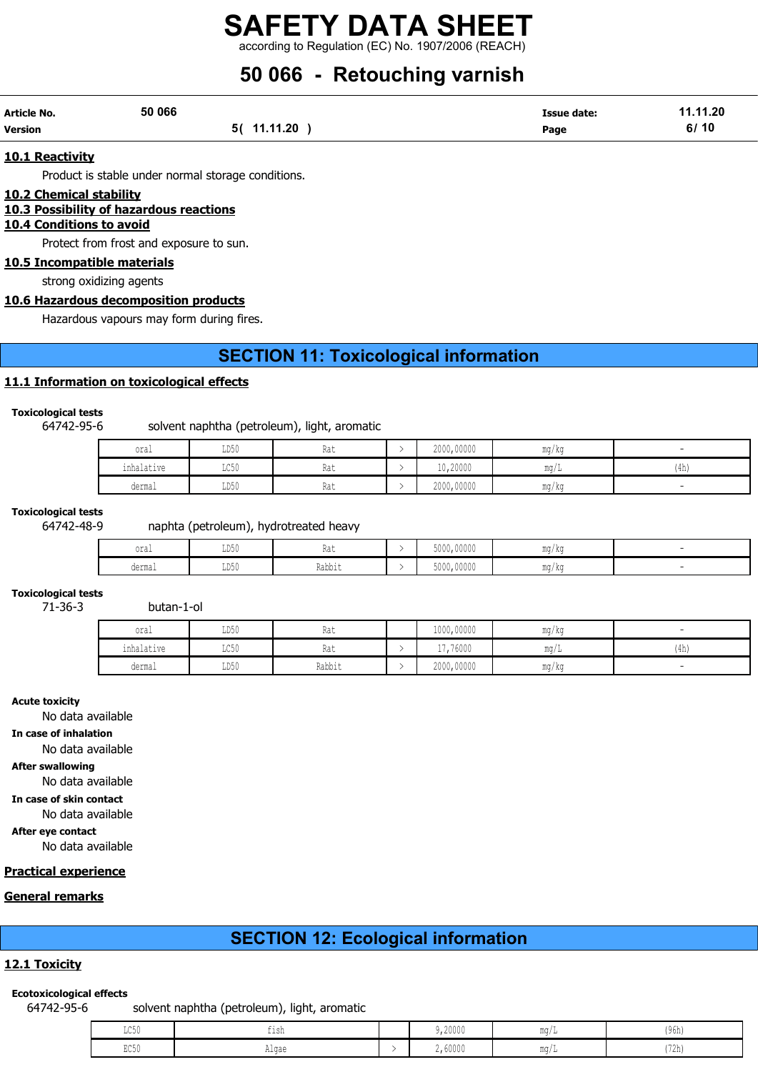## 50 066 - Retouching varnish

| Article No. | 50 066 |             | Issue date: | 11.11.20 |
|-------------|--------|-------------|-------------|----------|
| Version     |        | 5( 11.11.20 | Page        | 6/10     |

#### 10.1 Reactivity

Product is stable under normal storage conditions.

#### 10.2 Chemical stability

#### 10.3 Possibility of hazardous reactions

#### 10.4 Conditions to avoid

Protect from frost and exposure to sun.

10.5 Incompatible materials

strong oxidizing agents

#### 10.6 Hazardous decomposition products

Hazardous vapours may form during fires.

## SECTION 11: Toxicological information

#### 11.1 Information on toxicological effects

#### Toxicological tests

#### 64742-95-6 solvent naphtha (petroleum), light, aromatic

| oral       | LD50                    | Rat | 2000,00000 | mg/kg      |      |
|------------|-------------------------|-----|------------|------------|------|
| inhalative | $T \cap E \cap$<br>コレコロ | Kdl | 10,20000   | $m \wedge$ | (4h) |
| dermal     | LD50                    | Rat | 2000,00000 | mg/kg      |      |

#### Toxicological tests

#### 64742-48-9 naphta (petroleum), hydrotreated heavy

| oral   | T R L<br>יכתת | 1 w 6           | 5000,00000 | <b>MA</b><br>ma/ka      |  |
|--------|---------------|-----------------|------------|-------------------------|--|
| dermal | LD50          | Vahh:<br>⊥www±u | 5000,00000 | m <sub>2</sub><br>ma/ka |  |

#### Toxicological tests  $71 - 36 - 3$

| oral       | LD50 | Rat    | 1000,00000 | $\overline{\phantom{a}}$<br>ma/ka |                           |
|------------|------|--------|------------|-----------------------------------|---------------------------|
| inhalative | LC50 | Rat    | 17,76000   | $m\alpha$                         | 11 <sub>h</sub><br>l 411) |
| dermal     | LD50 | Rabbit | 2000,00000 | mg/kg                             |                           |

#### Acute toxicity

No data available

#### In case of inhalation

No data available

#### After swallowing

No data available

In case of skin contact

No data available

#### After eye contact

No data available

#### Practical experience

#### General remarks

### SECTION 12: Ecological information

#### 12.1 Toxicity

#### Ecotoxicological effects

64742-95-6 solvent naphtha (petroleum), light, aromatic

| LC50 | $-1$<br>$+1$ ch<br>--- | 9,20000 | $m \sim$        | (96h)                    |
|------|------------------------|---------|-----------------|--------------------------|
| EC50 | Alqae                  | 2,60000 | MA ALL<br>TIM L | 179k<br>' <i>' L</i> II) |

| 2222       | ……        | 100011 | <u>vuulivuuv</u>                                          | my |
|------------|-----------|--------|-----------------------------------------------------------|----|
|            |           |        |                                                           |    |
| butan-1-ol |           |        |                                                           |    |
|            | $- - - -$ | $ -$   | $\overline{\phantom{a}1000}$ $\overline{\phantom{a}0000}$ |    |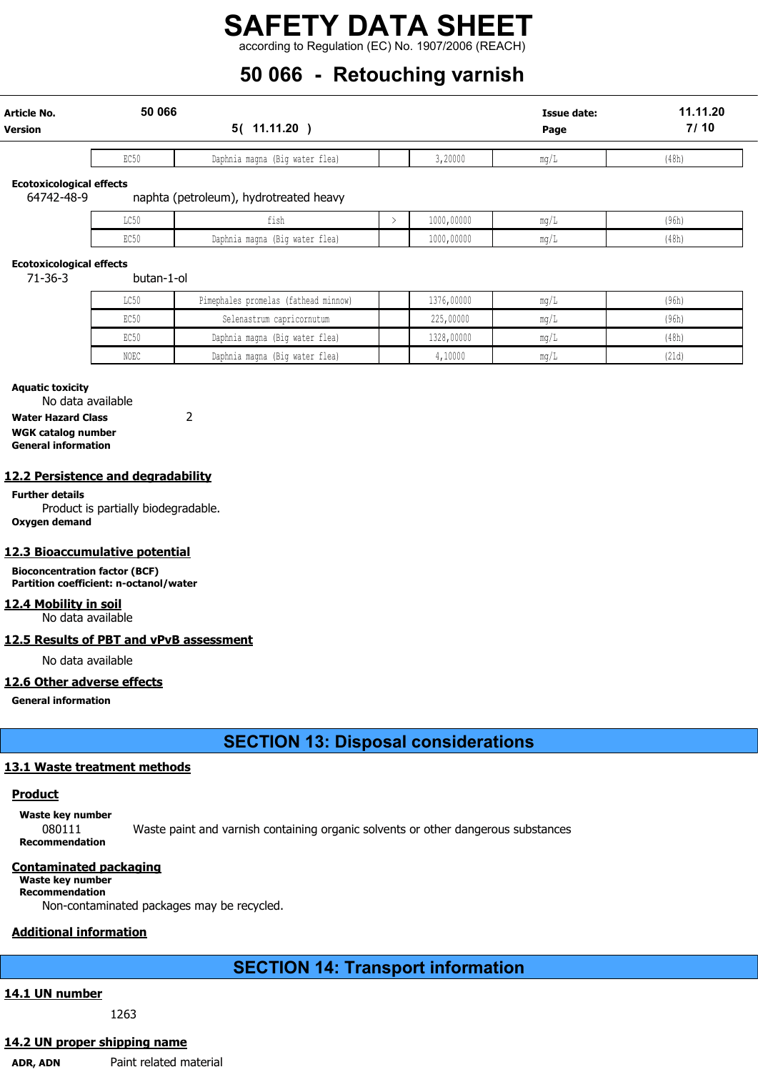## 50 066 - Retouching varnish

| Article No.    | 50 066                                 |  |      |         | Issue date: | 11.11.20 |
|----------------|----------------------------------------|--|------|---------|-------------|----------|
| <b>Version</b> | 11.11.20<br>50                         |  | Page |         |             | 7/10     |
|                | Daphnia magna (Big water flea)<br>EC50 |  |      | 3,20000 | mq/L        | (48h)    |

Ecotoxicological effects

64742-48-9 naphta (petroleum), hydrotreated heavy

| 0.050<br>かいい            | ۰, C<br>---                                                           | 1000,00000 | $m \sim$<br>$\frac{1}{2}$ | (96h) |
|-------------------------|-----------------------------------------------------------------------|------------|---------------------------|-------|
| $P \cap F \cap$<br>せいりり | $- -$<br>Daphnia magna<br>water flea)<br>12.5 <sub>1</sub><br>1 D.L.U | 1000,00000 | MA AV<br>$\frac{1}{2}$    | (48h) |

#### Ecotoxicological effects

71-36-3 butan-1-ol

| LC50 | Pimephales promelas (fathead minnow) | 1376,00000            | mq/L                  | (96h) |
|------|--------------------------------------|-----------------------|-----------------------|-------|
| EC50 | Selenastrum capricornutum            | 225,00000             | mq/L                  | (96h) |
| EC50 | Daphnia magna (Big water flea)       | 1328,00000            | mq/L                  | (48h) |
| NOEC | Daphnia magna (Big water flea)       | $\frac{1}{2}$ , 10000 | $\text{max}/\text{L}$ | (21d) |

#### Aquatic toxicity

No data available Water Hazard Class 2

WGK catalog number General information

#### 12.2 Persistence and degradability

Further details Product is partially biodegradable. Oxygen demand

#### 12.3 Bioaccumulative potential

Bioconcentration factor (BCF) Partition coefficient: n-octanol/water

#### 12.4 Mobility in soil

No data available

#### 12.5 Results of PBT and vPvB assessment

No data available

#### 12.6 Other adverse effects

General information

SECTION 13: Disposal considerations

#### 13.1 Waste treatment methods

#### **Product**

Waste key number 080111 Waste paint and varnish containing organic solvents or other dangerous substances Recommendation

#### Contaminated packaging

Waste key number Recommendation

Non-contaminated packages may be recycled.

### Additional information

## SECTION 14: Transport information

### 14.1 UN number

1263

## 14.2 UN proper shipping name

ADR, ADN Paint related material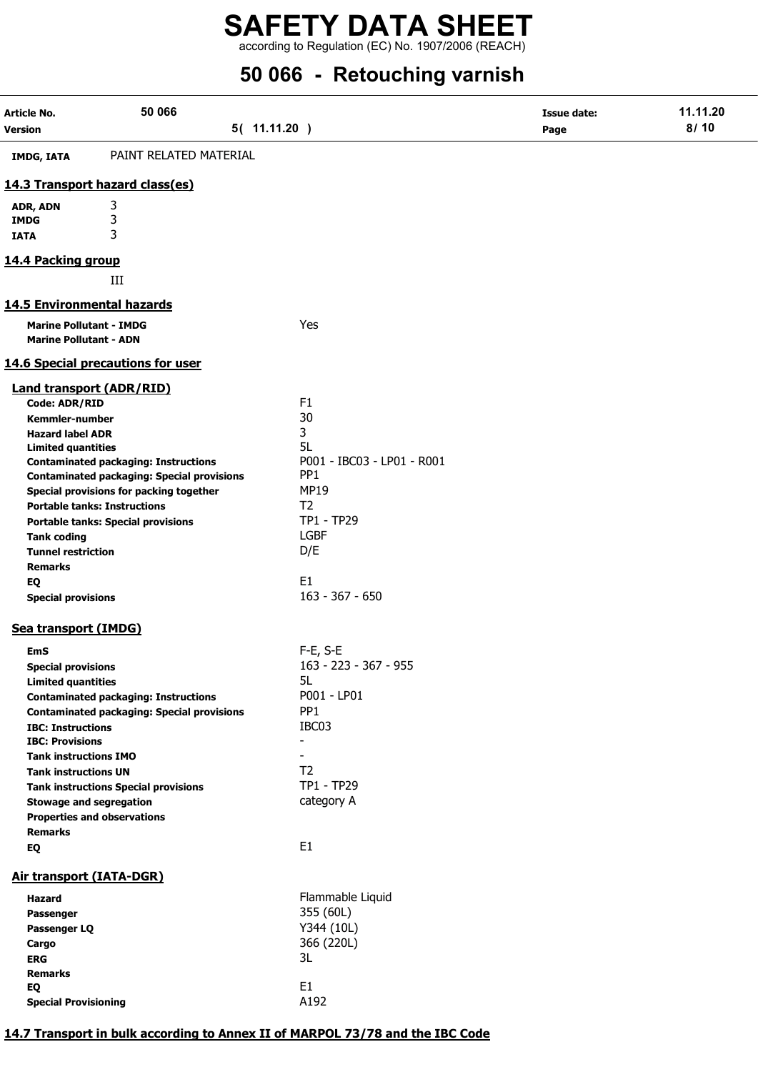according to Regulation (EC) No. 1907/2006 (REACH)

## 50 066 - Retouching varnish

| PAINT RELATED MATERIAL<br><b>IMDG, IATA</b><br>14.3 Transport hazard class(es)<br>3<br>ADR, ADN<br>3<br><b>IMDG</b><br>3<br><b>IATA</b><br>14.4 Packing group<br>III<br><b>14.5 Environmental hazards</b><br>Yes<br><b>Marine Pollutant - IMDG</b><br><b>Marine Pollutant - ADN</b><br>14.6 Special precautions for user<br><b>Land transport (ADR/RID)</b><br>F1<br><b>Code: ADR/RID</b><br>30<br><b>Kemmler-number</b><br>3<br><b>Hazard label ADR</b><br>5L<br><b>Limited quantities</b><br>P001 - IBC03 - LP01 - R001<br><b>Contaminated packaging: Instructions</b><br>PP <sub>1</sub><br><b>Contaminated packaging: Special provisions</b><br><b>MP19</b><br>Special provisions for packing together<br>T <sub>2</sub><br><b>Portable tanks: Instructions</b><br>TP1 - TP29<br><b>Portable tanks: Special provisions</b><br><b>LGBF</b><br><b>Tank coding</b><br>D/E<br><b>Tunnel restriction</b><br><b>Remarks</b><br>E1<br>EQ<br>$163 - 367 - 650$<br><b>Special provisions</b><br>Sea transport (IMDG)<br>$F-E$ , S-E<br>EmS<br>163 - 223 - 367 - 955<br><b>Special provisions</b><br>5L<br><b>Limited quantities</b><br>P001 - LP01<br><b>Contaminated packaging: Instructions</b><br>PP <sub>1</sub><br><b>Contaminated packaging: Special provisions</b><br>IBC03<br><b>IBC: Instructions</b><br><b>IBC: Provisions</b><br>$\blacksquare$<br><b>Tank instructions IMO</b><br>T <sub>2</sub><br><b>Tank instructions UN</b><br>TP1 - TP29<br><b>Tank instructions Special provisions</b><br>category A<br><b>Stowage and segregation</b><br><b>Properties and observations</b><br><b>Remarks</b><br>E1<br>EQ<br>Air transport (IATA-DGR)<br>Flammable Liquid<br>Hazard<br>355 (60L)<br>Passenger<br>Y344 (10L)<br>Passenger LQ<br>366 (220L)<br>Cargo<br>3L<br><b>ERG</b><br><b>Remarks</b><br>E <sub>1</sub><br>EQ<br>A192<br><b>Special Provisioning</b> | Article No.<br><b>Version</b> | 50 066<br>5( 11.11.20 ) | <b>Issue date:</b><br>Page | 11.11.20<br>8/10 |
|-----------------------------------------------------------------------------------------------------------------------------------------------------------------------------------------------------------------------------------------------------------------------------------------------------------------------------------------------------------------------------------------------------------------------------------------------------------------------------------------------------------------------------------------------------------------------------------------------------------------------------------------------------------------------------------------------------------------------------------------------------------------------------------------------------------------------------------------------------------------------------------------------------------------------------------------------------------------------------------------------------------------------------------------------------------------------------------------------------------------------------------------------------------------------------------------------------------------------------------------------------------------------------------------------------------------------------------------------------------------------------------------------------------------------------------------------------------------------------------------------------------------------------------------------------------------------------------------------------------------------------------------------------------------------------------------------------------------------------------------------------------------------------------------------------------------------------------------------------------------------|-------------------------------|-------------------------|----------------------------|------------------|
|                                                                                                                                                                                                                                                                                                                                                                                                                                                                                                                                                                                                                                                                                                                                                                                                                                                                                                                                                                                                                                                                                                                                                                                                                                                                                                                                                                                                                                                                                                                                                                                                                                                                                                                                                                                                                                                                       |                               |                         |                            |                  |
|                                                                                                                                                                                                                                                                                                                                                                                                                                                                                                                                                                                                                                                                                                                                                                                                                                                                                                                                                                                                                                                                                                                                                                                                                                                                                                                                                                                                                                                                                                                                                                                                                                                                                                                                                                                                                                                                       |                               |                         |                            |                  |
|                                                                                                                                                                                                                                                                                                                                                                                                                                                                                                                                                                                                                                                                                                                                                                                                                                                                                                                                                                                                                                                                                                                                                                                                                                                                                                                                                                                                                                                                                                                                                                                                                                                                                                                                                                                                                                                                       |                               |                         |                            |                  |
|                                                                                                                                                                                                                                                                                                                                                                                                                                                                                                                                                                                                                                                                                                                                                                                                                                                                                                                                                                                                                                                                                                                                                                                                                                                                                                                                                                                                                                                                                                                                                                                                                                                                                                                                                                                                                                                                       |                               |                         |                            |                  |
|                                                                                                                                                                                                                                                                                                                                                                                                                                                                                                                                                                                                                                                                                                                                                                                                                                                                                                                                                                                                                                                                                                                                                                                                                                                                                                                                                                                                                                                                                                                                                                                                                                                                                                                                                                                                                                                                       |                               |                         |                            |                  |
|                                                                                                                                                                                                                                                                                                                                                                                                                                                                                                                                                                                                                                                                                                                                                                                                                                                                                                                                                                                                                                                                                                                                                                                                                                                                                                                                                                                                                                                                                                                                                                                                                                                                                                                                                                                                                                                                       |                               |                         |                            |                  |
|                                                                                                                                                                                                                                                                                                                                                                                                                                                                                                                                                                                                                                                                                                                                                                                                                                                                                                                                                                                                                                                                                                                                                                                                                                                                                                                                                                                                                                                                                                                                                                                                                                                                                                                                                                                                                                                                       |                               |                         |                            |                  |
|                                                                                                                                                                                                                                                                                                                                                                                                                                                                                                                                                                                                                                                                                                                                                                                                                                                                                                                                                                                                                                                                                                                                                                                                                                                                                                                                                                                                                                                                                                                                                                                                                                                                                                                                                                                                                                                                       |                               |                         |                            |                  |
|                                                                                                                                                                                                                                                                                                                                                                                                                                                                                                                                                                                                                                                                                                                                                                                                                                                                                                                                                                                                                                                                                                                                                                                                                                                                                                                                                                                                                                                                                                                                                                                                                                                                                                                                                                                                                                                                       |                               |                         |                            |                  |
|                                                                                                                                                                                                                                                                                                                                                                                                                                                                                                                                                                                                                                                                                                                                                                                                                                                                                                                                                                                                                                                                                                                                                                                                                                                                                                                                                                                                                                                                                                                                                                                                                                                                                                                                                                                                                                                                       |                               |                         |                            |                  |
|                                                                                                                                                                                                                                                                                                                                                                                                                                                                                                                                                                                                                                                                                                                                                                                                                                                                                                                                                                                                                                                                                                                                                                                                                                                                                                                                                                                                                                                                                                                                                                                                                                                                                                                                                                                                                                                                       |                               |                         |                            |                  |
|                                                                                                                                                                                                                                                                                                                                                                                                                                                                                                                                                                                                                                                                                                                                                                                                                                                                                                                                                                                                                                                                                                                                                                                                                                                                                                                                                                                                                                                                                                                                                                                                                                                                                                                                                                                                                                                                       |                               |                         |                            |                  |
|                                                                                                                                                                                                                                                                                                                                                                                                                                                                                                                                                                                                                                                                                                                                                                                                                                                                                                                                                                                                                                                                                                                                                                                                                                                                                                                                                                                                                                                                                                                                                                                                                                                                                                                                                                                                                                                                       |                               |                         |                            |                  |
|                                                                                                                                                                                                                                                                                                                                                                                                                                                                                                                                                                                                                                                                                                                                                                                                                                                                                                                                                                                                                                                                                                                                                                                                                                                                                                                                                                                                                                                                                                                                                                                                                                                                                                                                                                                                                                                                       |                               |                         |                            |                  |
|                                                                                                                                                                                                                                                                                                                                                                                                                                                                                                                                                                                                                                                                                                                                                                                                                                                                                                                                                                                                                                                                                                                                                                                                                                                                                                                                                                                                                                                                                                                                                                                                                                                                                                                                                                                                                                                                       |                               |                         |                            |                  |
|                                                                                                                                                                                                                                                                                                                                                                                                                                                                                                                                                                                                                                                                                                                                                                                                                                                                                                                                                                                                                                                                                                                                                                                                                                                                                                                                                                                                                                                                                                                                                                                                                                                                                                                                                                                                                                                                       |                               |                         |                            |                  |
|                                                                                                                                                                                                                                                                                                                                                                                                                                                                                                                                                                                                                                                                                                                                                                                                                                                                                                                                                                                                                                                                                                                                                                                                                                                                                                                                                                                                                                                                                                                                                                                                                                                                                                                                                                                                                                                                       |                               |                         |                            |                  |
|                                                                                                                                                                                                                                                                                                                                                                                                                                                                                                                                                                                                                                                                                                                                                                                                                                                                                                                                                                                                                                                                                                                                                                                                                                                                                                                                                                                                                                                                                                                                                                                                                                                                                                                                                                                                                                                                       |                               |                         |                            |                  |
|                                                                                                                                                                                                                                                                                                                                                                                                                                                                                                                                                                                                                                                                                                                                                                                                                                                                                                                                                                                                                                                                                                                                                                                                                                                                                                                                                                                                                                                                                                                                                                                                                                                                                                                                                                                                                                                                       |                               |                         |                            |                  |
|                                                                                                                                                                                                                                                                                                                                                                                                                                                                                                                                                                                                                                                                                                                                                                                                                                                                                                                                                                                                                                                                                                                                                                                                                                                                                                                                                                                                                                                                                                                                                                                                                                                                                                                                                                                                                                                                       |                               |                         |                            |                  |
|                                                                                                                                                                                                                                                                                                                                                                                                                                                                                                                                                                                                                                                                                                                                                                                                                                                                                                                                                                                                                                                                                                                                                                                                                                                                                                                                                                                                                                                                                                                                                                                                                                                                                                                                                                                                                                                                       |                               |                         |                            |                  |
|                                                                                                                                                                                                                                                                                                                                                                                                                                                                                                                                                                                                                                                                                                                                                                                                                                                                                                                                                                                                                                                                                                                                                                                                                                                                                                                                                                                                                                                                                                                                                                                                                                                                                                                                                                                                                                                                       |                               |                         |                            |                  |
|                                                                                                                                                                                                                                                                                                                                                                                                                                                                                                                                                                                                                                                                                                                                                                                                                                                                                                                                                                                                                                                                                                                                                                                                                                                                                                                                                                                                                                                                                                                                                                                                                                                                                                                                                                                                                                                                       |                               |                         |                            |                  |
|                                                                                                                                                                                                                                                                                                                                                                                                                                                                                                                                                                                                                                                                                                                                                                                                                                                                                                                                                                                                                                                                                                                                                                                                                                                                                                                                                                                                                                                                                                                                                                                                                                                                                                                                                                                                                                                                       |                               |                         |                            |                  |
|                                                                                                                                                                                                                                                                                                                                                                                                                                                                                                                                                                                                                                                                                                                                                                                                                                                                                                                                                                                                                                                                                                                                                                                                                                                                                                                                                                                                                                                                                                                                                                                                                                                                                                                                                                                                                                                                       |                               |                         |                            |                  |
|                                                                                                                                                                                                                                                                                                                                                                                                                                                                                                                                                                                                                                                                                                                                                                                                                                                                                                                                                                                                                                                                                                                                                                                                                                                                                                                                                                                                                                                                                                                                                                                                                                                                                                                                                                                                                                                                       |                               |                         |                            |                  |
|                                                                                                                                                                                                                                                                                                                                                                                                                                                                                                                                                                                                                                                                                                                                                                                                                                                                                                                                                                                                                                                                                                                                                                                                                                                                                                                                                                                                                                                                                                                                                                                                                                                                                                                                                                                                                                                                       |                               |                         |                            |                  |
|                                                                                                                                                                                                                                                                                                                                                                                                                                                                                                                                                                                                                                                                                                                                                                                                                                                                                                                                                                                                                                                                                                                                                                                                                                                                                                                                                                                                                                                                                                                                                                                                                                                                                                                                                                                                                                                                       |                               |                         |                            |                  |
|                                                                                                                                                                                                                                                                                                                                                                                                                                                                                                                                                                                                                                                                                                                                                                                                                                                                                                                                                                                                                                                                                                                                                                                                                                                                                                                                                                                                                                                                                                                                                                                                                                                                                                                                                                                                                                                                       |                               |                         |                            |                  |
|                                                                                                                                                                                                                                                                                                                                                                                                                                                                                                                                                                                                                                                                                                                                                                                                                                                                                                                                                                                                                                                                                                                                                                                                                                                                                                                                                                                                                                                                                                                                                                                                                                                                                                                                                                                                                                                                       |                               |                         |                            |                  |
|                                                                                                                                                                                                                                                                                                                                                                                                                                                                                                                                                                                                                                                                                                                                                                                                                                                                                                                                                                                                                                                                                                                                                                                                                                                                                                                                                                                                                                                                                                                                                                                                                                                                                                                                                                                                                                                                       |                               |                         |                            |                  |
|                                                                                                                                                                                                                                                                                                                                                                                                                                                                                                                                                                                                                                                                                                                                                                                                                                                                                                                                                                                                                                                                                                                                                                                                                                                                                                                                                                                                                                                                                                                                                                                                                                                                                                                                                                                                                                                                       |                               |                         |                            |                  |
|                                                                                                                                                                                                                                                                                                                                                                                                                                                                                                                                                                                                                                                                                                                                                                                                                                                                                                                                                                                                                                                                                                                                                                                                                                                                                                                                                                                                                                                                                                                                                                                                                                                                                                                                                                                                                                                                       |                               |                         |                            |                  |
|                                                                                                                                                                                                                                                                                                                                                                                                                                                                                                                                                                                                                                                                                                                                                                                                                                                                                                                                                                                                                                                                                                                                                                                                                                                                                                                                                                                                                                                                                                                                                                                                                                                                                                                                                                                                                                                                       |                               |                         |                            |                  |
|                                                                                                                                                                                                                                                                                                                                                                                                                                                                                                                                                                                                                                                                                                                                                                                                                                                                                                                                                                                                                                                                                                                                                                                                                                                                                                                                                                                                                                                                                                                                                                                                                                                                                                                                                                                                                                                                       |                               |                         |                            |                  |
|                                                                                                                                                                                                                                                                                                                                                                                                                                                                                                                                                                                                                                                                                                                                                                                                                                                                                                                                                                                                                                                                                                                                                                                                                                                                                                                                                                                                                                                                                                                                                                                                                                                                                                                                                                                                                                                                       |                               |                         |                            |                  |
|                                                                                                                                                                                                                                                                                                                                                                                                                                                                                                                                                                                                                                                                                                                                                                                                                                                                                                                                                                                                                                                                                                                                                                                                                                                                                                                                                                                                                                                                                                                                                                                                                                                                                                                                                                                                                                                                       |                               |                         |                            |                  |
|                                                                                                                                                                                                                                                                                                                                                                                                                                                                                                                                                                                                                                                                                                                                                                                                                                                                                                                                                                                                                                                                                                                                                                                                                                                                                                                                                                                                                                                                                                                                                                                                                                                                                                                                                                                                                                                                       |                               |                         |                            |                  |
|                                                                                                                                                                                                                                                                                                                                                                                                                                                                                                                                                                                                                                                                                                                                                                                                                                                                                                                                                                                                                                                                                                                                                                                                                                                                                                                                                                                                                                                                                                                                                                                                                                                                                                                                                                                                                                                                       |                               |                         |                            |                  |
|                                                                                                                                                                                                                                                                                                                                                                                                                                                                                                                                                                                                                                                                                                                                                                                                                                                                                                                                                                                                                                                                                                                                                                                                                                                                                                                                                                                                                                                                                                                                                                                                                                                                                                                                                                                                                                                                       |                               |                         |                            |                  |
|                                                                                                                                                                                                                                                                                                                                                                                                                                                                                                                                                                                                                                                                                                                                                                                                                                                                                                                                                                                                                                                                                                                                                                                                                                                                                                                                                                                                                                                                                                                                                                                                                                                                                                                                                                                                                                                                       |                               |                         |                            |                  |
|                                                                                                                                                                                                                                                                                                                                                                                                                                                                                                                                                                                                                                                                                                                                                                                                                                                                                                                                                                                                                                                                                                                                                                                                                                                                                                                                                                                                                                                                                                                                                                                                                                                                                                                                                                                                                                                                       |                               |                         |                            |                  |
|                                                                                                                                                                                                                                                                                                                                                                                                                                                                                                                                                                                                                                                                                                                                                                                                                                                                                                                                                                                                                                                                                                                                                                                                                                                                                                                                                                                                                                                                                                                                                                                                                                                                                                                                                                                                                                                                       |                               |                         |                            |                  |
|                                                                                                                                                                                                                                                                                                                                                                                                                                                                                                                                                                                                                                                                                                                                                                                                                                                                                                                                                                                                                                                                                                                                                                                                                                                                                                                                                                                                                                                                                                                                                                                                                                                                                                                                                                                                                                                                       |                               |                         |                            |                  |
|                                                                                                                                                                                                                                                                                                                                                                                                                                                                                                                                                                                                                                                                                                                                                                                                                                                                                                                                                                                                                                                                                                                                                                                                                                                                                                                                                                                                                                                                                                                                                                                                                                                                                                                                                                                                                                                                       |                               |                         |                            |                  |
|                                                                                                                                                                                                                                                                                                                                                                                                                                                                                                                                                                                                                                                                                                                                                                                                                                                                                                                                                                                                                                                                                                                                                                                                                                                                                                                                                                                                                                                                                                                                                                                                                                                                                                                                                                                                                                                                       |                               |                         |                            |                  |

#### 14.7 Transport in bulk according to Annex II of MARPOL 73/78 and the IBC Code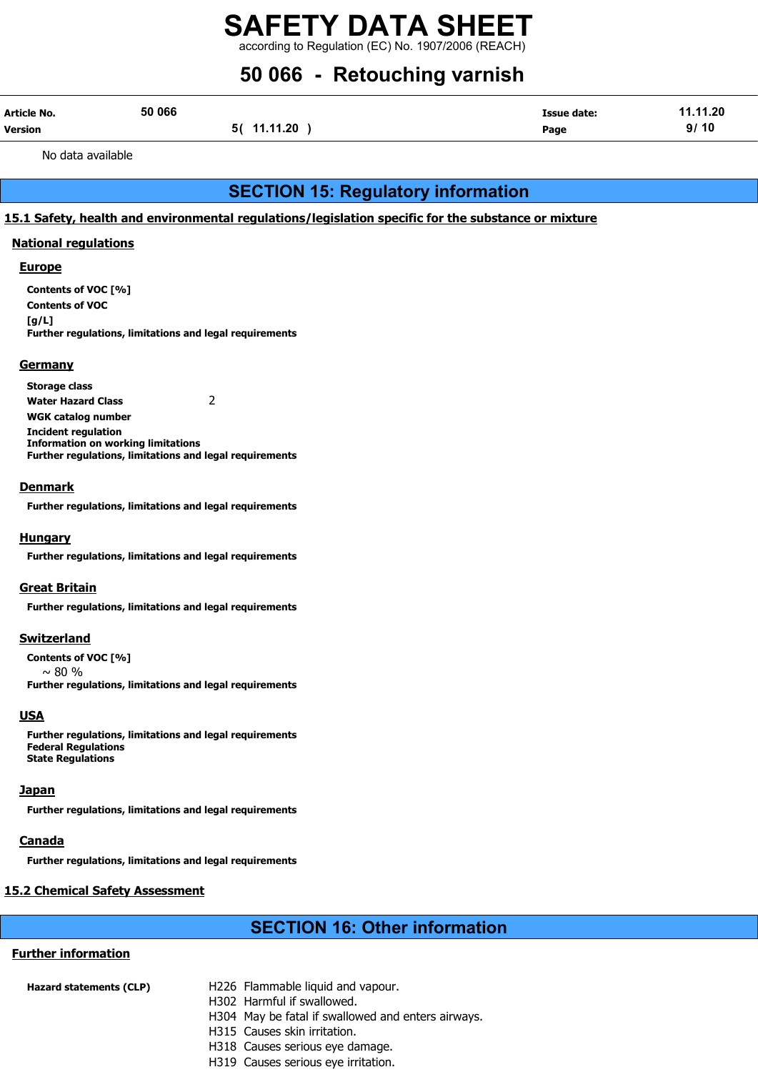## 50 066 - Retouching varnish

| Article No.    | 50 066 |             | <b>Issue date:</b> | 11.11.20 |
|----------------|--------|-------------|--------------------|----------|
| <b>Version</b> |        | 5( 11.11.20 | Page               | 9/10     |

No data available

## SECTION 15: Regulatory information

#### 15.1 Safety, health and environmental regulations/legislation specific for the substance or mixture

#### National regulations

#### **Europe**

Contents of VOC [%] Contents of VOC  $[a/L]$ Further regulations, limitations and legal requirements

#### **Germany**

Storage class Water Hazard Class 2 WGK catalog number Incident regulation Information on working limitations Further regulations, limitations and legal requirements

#### **Denmark**

Further regulations, limitations and legal requirements

#### Hungary

Further regulations, limitations and legal requirements

#### **Great Britain**

Further regulations, limitations and legal requirements

#### **Switzerland**

Contents of VOC [%]  $\sim$  80 % Further regulations, limitations and legal requirements

#### **USA**

Further regulations, limitations and legal requirements Federal Regulations State Regulations

#### Japan

Further regulations, limitations and legal requirements

#### **Canada**

Further regulations, limitations and legal requirements

#### 15.2 Chemical Safety Assessment

## SECTION 16: Other information

#### Further information

| Hazard statements (CLP) | H226 Flammable liquid and vapour.                  |
|-------------------------|----------------------------------------------------|
|                         | H302 Harmful if swallowed.                         |
|                         | H304 May be fatal if swallowed and enters airways. |
|                         | H315 Causes skin irritation.                       |
|                         | H318 Causes serious eye damage.                    |
|                         | H319 Causes serious eye irritation.                |